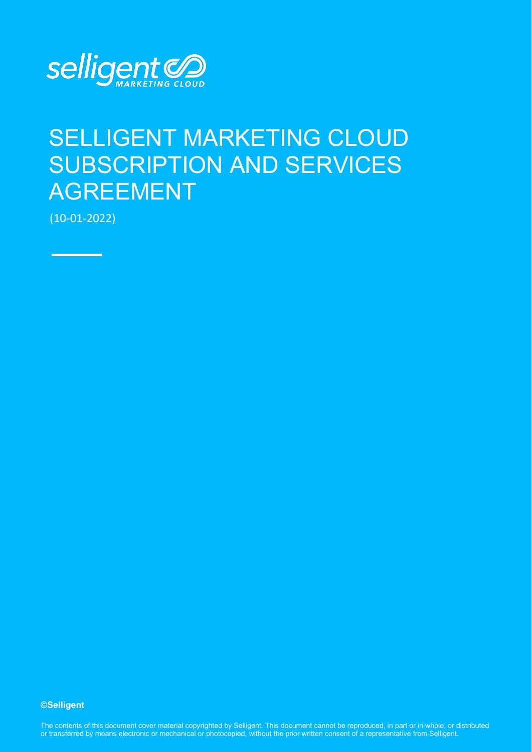

# SELLIGENT MARKETING CLOUD SUBSCRIPTION AND SERVICES AGREEMENT

(10-01-2022)

**©Selligent** 

The contents of this document cover material copyrighted by Selligent. This document cannot be reproduced, in part or in whole, or distributed or transferred by means electronic or mechanical or photocopied, without the prior written consent of a representative from Selligent.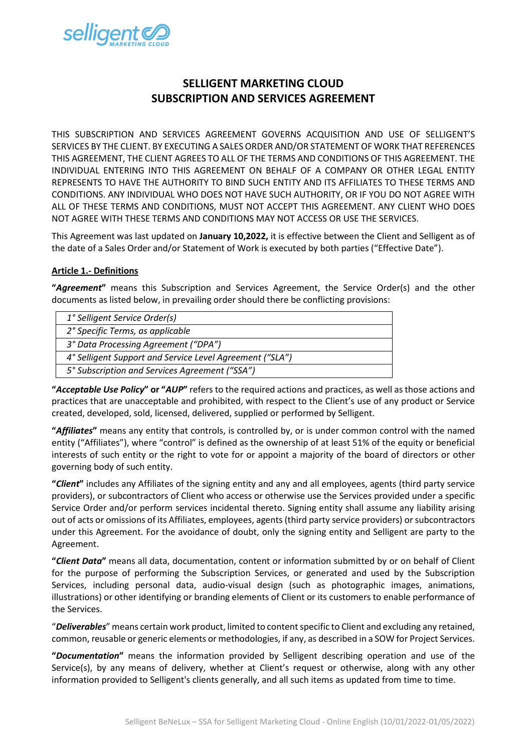

# **SELLIGENT MARKETING CLOUD SUBSCRIPTION AND SERVICES AGREEMENT**

THIS SUBSCRIPTION AND SERVICES AGREEMENT GOVERNS ACQUISITION AND USE OF SELLIGENT'S SERVICES BY THE CLIENT. BY EXECUTING A SALES ORDER AND/OR STATEMENT OF WORK THAT REFERENCES THIS AGREEMENT, THE CLIENT AGREES TO ALL OF THE TERMS AND CONDITIONS OF THIS AGREEMENT. THE INDIVIDUAL ENTERING INTO THIS AGREEMENT ON BEHALF OF A COMPANY OR OTHER LEGAL ENTITY REPRESENTS TO HAVE THE AUTHORITY TO BIND SUCH ENTITY AND ITS AFFILIATES TO THESE TERMS AND CONDITIONS. ANY INDIVIDUAL WHO DOES NOT HAVE SUCH AUTHORITY, OR IF YOU DO NOT AGREE WITH ALL OF THESE TERMS AND CONDITIONS, MUST NOT ACCEPT THIS AGREEMENT. ANY CLIENT WHO DOES NOT AGREE WITH THESE TERMS AND CONDITIONS MAY NOT ACCESS OR USE THE SERVICES.

This Agreement was last updated on **January 10,2022,** it is effective between the Client and Selligent as of the date of a Sales Order and/or Statement of Work is executed by both parties ("Effective Date").

# **Article 1.- Definitions**

**"***Agreement***"** means this Subscription and Services Agreement, the Service Order(s) and the other documents as listed below, in prevailing order should there be conflicting provisions:

| 1° Selligent Service Order(s)                            |
|----------------------------------------------------------|
| 2° Specific Terms, as applicable                         |
| 3° Data Processing Agreement ("DPA")                     |
| 4° Selligent Support and Service Level Agreement ("SLA") |
| 5° Subscription and Services Agreement ("SSA")           |
|                                                          |

**"***Acceptable Use Policy***" or "***AUP***"** refers to the required actions and practices, as well as those actions and practices that are unacceptable and prohibited, with respect to the Client's use of any product or Service created, developed, sold, licensed, delivered, supplied or performed by Selligent.

**"***Affiliates***"** means any entity that controls, is controlled by, or is under common control with the named entity ("Affiliates"), where "control" is defined as the ownership of at least 51% of the equity or beneficial interests of such entity or the right to vote for or appoint a majority of the board of directors or other governing body of such entity.

**"***Client***"** includes any Affiliates of the signing entity and any and all employees, agents (third party service providers), or subcontractors of Client who access or otherwise use the Services provided under a specific Service Order and/or perform services incidental thereto. Signing entity shall assume any liability arising out of acts or omissions of its Affiliates, employees, agents (third party service providers) or subcontractors under this Agreement. For the avoidance of doubt, only the signing entity and Selligent are party to the Agreement.

**"***Client Data***"** means all data, documentation, content or information submitted by or on behalf of Client for the purpose of performing the Subscription Services, or generated and used by the Subscription Services, including personal data, audio-visual design (such as photographic images, animations, illustrations) or other identifying or branding elements of Client or its customers to enable performance of the Services.

"*Deliverables*" means certain work product, limited to content specific to Client and excluding any retained, common, reusable or generic elements or methodologies, if any, as described in a SOW for Project Services.

**"***Documentation***"** means the information provided by Selligent describing operation and use of the Service(s), by any means of delivery, whether at Client's request or otherwise, along with any other information provided to Selligent's clients generally, and all such items as updated from time to time.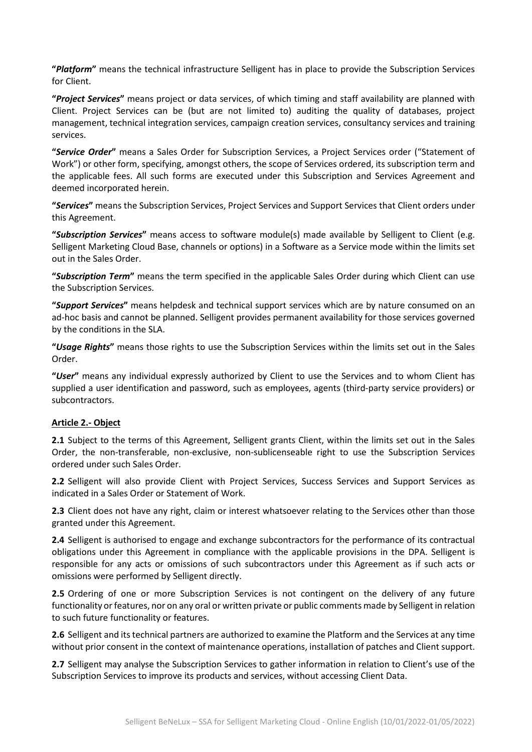**"***Platform***"** means the technical infrastructure Selligent has in place to provide the Subscription Services for Client.

**"***Project Services***"** means project or data services, of which timing and staff availability are planned with Client. Project Services can be (but are not limited to) auditing the quality of databases, project management, technical integration services, campaign creation services, consultancy services and training services.

**"***Service Order***"** means a Sales Order for Subscription Services, a Project Services order ("Statement of Work") or other form, specifying, amongst others, the scope of Services ordered, its subscription term and the applicable fees. All such forms are executed under this Subscription and Services Agreement and deemed incorporated herein.

**"***Services***"** means the Subscription Services, Project Services and Support Services that Client orders under this Agreement.

**"***Subscription Services***"** means access to software module(s) made available by Selligent to Client (e.g. Selligent Marketing Cloud Base, channels or options) in a Software as a Service mode within the limits set out in the Sales Order.

**"***Subscription Term***"** means the term specified in the applicable Sales Order during which Client can use the Subscription Services.

**"***Support Services***"** means helpdesk and technical support services which are by nature consumed on an ad-hoc basis and cannot be planned. Selligent provides permanent availability for those services governed by the conditions in the SLA.

**"***Usage Rights***"** means those rights to use the Subscription Services within the limits set out in the Sales Order.

**"***User***"** means any individual expressly authorized by Client to use the Services and to whom Client has supplied a user identification and password, such as employees, agents (third-party service providers) or subcontractors.

#### **Article 2.- Object**

**2.1** Subject to the terms of this Agreement, Selligent grants Client, within the limits set out in the Sales Order, the non-transferable, non-exclusive, non-sublicenseable right to use the Subscription Services ordered under such Sales Order.

**2.2** Selligent will also provide Client with Project Services, Success Services and Support Services as indicated in a Sales Order or Statement of Work.

**2.3** Client does not have any right, claim or interest whatsoever relating to the Services other than those granted under this Agreement.

**2.4** Selligent is authorised to engage and exchange subcontractors for the performance of its contractual obligations under this Agreement in compliance with the applicable provisions in the DPA. Selligent is responsible for any acts or omissions of such subcontractors under this Agreement as if such acts or omissions were performed by Selligent directly.

**2.5** Ordering of one or more Subscription Services is not contingent on the delivery of any future functionality or features, nor on any oral or written private or public comments made by Selligent in relation to such future functionality or features.

**2.6** Selligent and its technical partners are authorized to examine the Platform and the Services at any time without prior consent in the context of maintenance operations, installation of patches and Client support.

**2.7** Selligent may analyse the Subscription Services to gather information in relation to Client's use of the Subscription Services to improve its products and services, without accessing Client Data.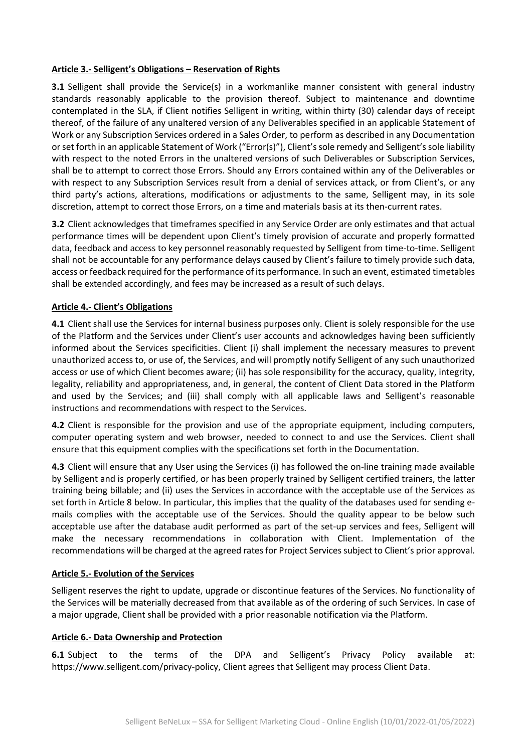#### **Article 3.- Selligent's Obligations – Reservation of Rights**

**3.1** Selligent shall provide the Service(s) in a workmanlike manner consistent with general industry standards reasonably applicable to the provision thereof. Subject to maintenance and downtime contemplated in the SLA, if Client notifies Selligent in writing, within thirty (30) calendar days of receipt thereof, of the failure of any unaltered version of any Deliverables specified in an applicable Statement of Work or any Subscription Services ordered in a Sales Order, to perform as described in any Documentation or set forth in an applicable Statement of Work ("Error(s)"), Client's sole remedy and Selligent's sole liability with respect to the noted Errors in the unaltered versions of such Deliverables or Subscription Services, shall be to attempt to correct those Errors. Should any Errors contained within any of the Deliverables or with respect to any Subscription Services result from a denial of services attack, or from Client's, or any third party's actions, alterations, modifications or adjustments to the same, Selligent may, in its sole discretion, attempt to correct those Errors, on a time and materials basis at its then-current rates.

**3.2** Client acknowledges that timeframes specified in any Service Order are only estimates and that actual performance times will be dependent upon Client's timely provision of accurate and properly formatted data, feedback and access to key personnel reasonably requested by Selligent from time-to-time. Selligent shall not be accountable for any performance delays caused by Client's failure to timely provide such data, access or feedback required for the performance of its performance. In such an event, estimated timetables shall be extended accordingly, and fees may be increased as a result of such delays.

# **Article 4.- Client's Obligations**

**4.1** Client shall use the Services for internal business purposes only. Client is solely responsible for the use of the Platform and the Services under Client's user accounts and acknowledges having been sufficiently informed about the Services specificities. Client (i) shall implement the necessary measures to prevent unauthorized access to, or use of, the Services, and will promptly notify Selligent of any such unauthorized access or use of which Client becomes aware; (ii) has sole responsibility for the accuracy, quality, integrity, legality, reliability and appropriateness, and, in general, the content of Client Data stored in the Platform and used by the Services; and (iii) shall comply with all applicable laws and Selligent's reasonable instructions and recommendations with respect to the Services.

**4.2** Client is responsible for the provision and use of the appropriate equipment, including computers, computer operating system and web browser, needed to connect to and use the Services. Client shall ensure that this equipment complies with the specifications set forth in the Documentation.

**4.3** Client will ensure that any User using the Services (i) has followed the on-line training made available by Selligent and is properly certified, or has been properly trained by Selligent certified trainers, the latter training being billable; and (ii) uses the Services in accordance with the acceptable use of the Services as set forth in Article 8 below. In particular, this implies that the quality of the databases used for sending emails complies with the acceptable use of the Services. Should the quality appear to be below such acceptable use after the database audit performed as part of the set-up services and fees, Selligent will make the necessary recommendations in collaboration with Client. Implementation of the recommendations will be charged at the agreed rates for Project Services subject to Client's prior approval.

#### **Article 5.- Evolution of the Services**

Selligent reserves the right to update, upgrade or discontinue features of the Services. No functionality of the Services will be materially decreased from that available as of the ordering of such Services. In case of a major upgrade, Client shall be provided with a prior reasonable notification via the Platform.

#### **Article 6.- Data Ownership and Protection**

**6.1** Subject to the terms of the DPA and Selligent's Privacy Policy available at: [https://www.selligent.com/privacy-policy,](https://www.selligent.com/privacy-policy) Client agrees that Selligent may process Client Data.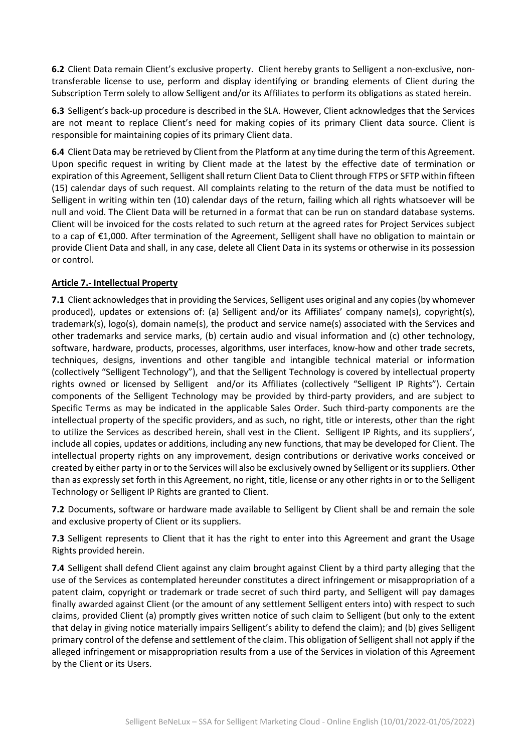**6.2** Client Data remain Client's exclusive property. Client hereby grants to Selligent a non-exclusive, nontransferable license to use, perform and display identifying or branding elements of Client during the Subscription Term solely to allow Selligent and/or its Affiliates to perform its obligations as stated herein.

**6.3** Selligent's back-up procedure is described in the SLA. However, Client acknowledges that the Services are not meant to replace Client's need for making copies of its primary Client data source. Client is responsible for maintaining copies of its primary Client data.

**6.4** Client Data may be retrieved by Client from the Platform at any time during the term of this Agreement. Upon specific request in writing by Client made at the latest by the effective date of termination or expiration of this Agreement, Selligent shall return Client Data to Client through FTPS or SFTP within fifteen (15) calendar days of such request. All complaints relating to the return of the data must be notified to Selligent in writing within ten (10) calendar days of the return, failing which all rights whatsoever will be null and void. The Client Data will be returned in a format that can be run on standard database systems. Client will be invoiced for the costs related to such return at the agreed rates for Project Services subject to a cap of €1,000. After termination of the Agreement, Selligent shall have no obligation to maintain or provide Client Data and shall, in any case, delete all Client Data in its systems or otherwise in its possession or control.

# **Article 7.- Intellectual Property**

**7.1** Client acknowledges that in providing the Services, Selligent uses original and any copies (by whomever produced), updates or extensions of: (a) Selligent and/or its Affiliates' company name(s), copyright(s), trademark(s), logo(s), domain name(s), the product and service name(s) associated with the Services and other trademarks and service marks, (b) certain audio and visual information and (c) other technology, software, hardware, products, processes, algorithms, user interfaces, know-how and other trade secrets, techniques, designs, inventions and other tangible and intangible technical material or information (collectively "Selligent Technology"), and that the Selligent Technology is covered by intellectual property rights owned or licensed by Selligent and/or its Affiliates (collectively "Selligent IP Rights"). Certain components of the Selligent Technology may be provided by third-party providers, and are subject to Specific Terms as may be indicated in the applicable Sales Order. Such third-party components are the intellectual property of the specific providers, and as such, no right, title or interests, other than the right to utilize the Services as described herein, shall vest in the Client. Selligent IP Rights, and its suppliers', include all copies, updates or additions, including any new functions, that may be developed for Client. The intellectual property rights on any improvement, design contributions or derivative works conceived or created by either party in or to the Services will also be exclusively owned by Selligent or its suppliers. Other than as expressly set forth in this Agreement, no right, title, license or any other rights in or to the Selligent Technology or Selligent IP Rights are granted to Client.

**7.2** Documents, software or hardware made available to Selligent by Client shall be and remain the sole and exclusive property of Client or its suppliers.

**7.3** Selligent represents to Client that it has the right to enter into this Agreement and grant the Usage Rights provided herein.

**7.4** Selligent shall defend Client against any claim brought against Client by a third party alleging that the use of the Services as contemplated hereunder constitutes a direct infringement or misappropriation of a patent claim, copyright or trademark or trade secret of such third party, and Selligent will pay damages finally awarded against Client (or the amount of any settlement Selligent enters into) with respect to such claims, provided Client (a) promptly gives written notice of such claim to Selligent (but only to the extent that delay in giving notice materially impairs Selligent's ability to defend the claim); and (b) gives Selligent primary control of the defense and settlement of the claim. This obligation of Selligent shall not apply if the alleged infringement or misappropriation results from a use of the Services in violation of this Agreement by the Client or its Users.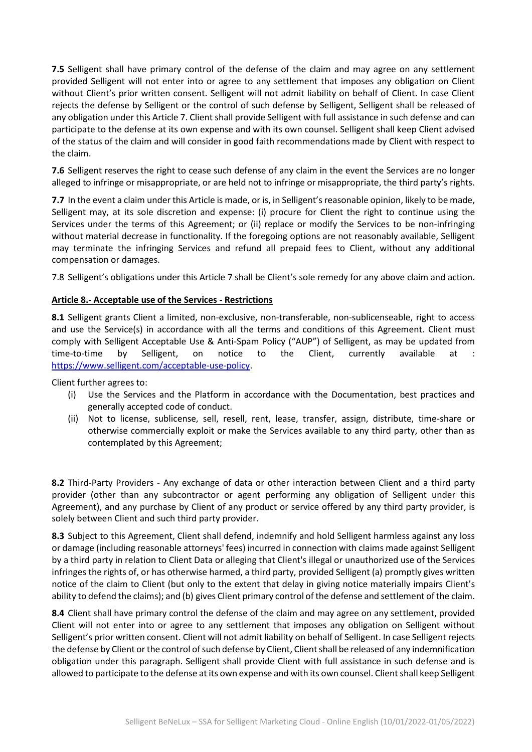**7.5** Selligent shall have primary control of the defense of the claim and may agree on any settlement provided Selligent will not enter into or agree to any settlement that imposes any obligation on Client without Client's prior written consent. Selligent will not admit liability on behalf of Client. In case Client rejects the defense by Selligent or the control of such defense by Selligent, Selligent shall be released of any obligation under this Article 7. Client shall provide Selligent with full assistance in such defense and can participate to the defense at its own expense and with its own counsel. Selligent shall keep Client advised of the status of the claim and will consider in good faith recommendations made by Client with respect to the claim.

**7.6** Selligent reserves the right to cease such defense of any claim in the event the Services are no longer alleged to infringe or misappropriate, or are held not to infringe or misappropriate, the third party's rights.

**7.7** In the event a claim under this Article is made, or is, in Selligent's reasonable opinion, likely to be made, Selligent may, at its sole discretion and expense: (i) procure for Client the right to continue using the Services under the terms of this Agreement; or (ii) replace or modify the Services to be non-infringing without material decrease in functionality. If the foregoing options are not reasonably available, Selligent may terminate the infringing Services and refund all prepaid fees to Client, without any additional compensation or damages.

7.8 Selligent's obligations under this Article 7 shall be Client's sole remedy for any above claim and action.

# **Article 8.- Acceptable use of the Services - Restrictions**

**8.1** Selligent grants Client a limited, non-exclusive, non-transferable, non-sublicenseable, right to access and use the Service(s) in accordance with all the terms and conditions of this Agreement. Client must comply with Selligent Acceptable Use & Anti-Spam Policy ("AUP") of Selligent, as may be updated from time-to-time by Selligent, on notice to the Client, currently available at : [https://www.selligent.com/acceptable-use-policy.](https://www.selligent.com/acceptable-use-policy)

Client further agrees to:

- (i) Use the Services and the Platform in accordance with the Documentation, best practices and generally accepted code of conduct.
- (ii) Not to license, sublicense, sell, resell, rent, lease, transfer, assign, distribute, time-share or otherwise commercially exploit or make the Services available to any third party, other than as contemplated by this Agreement;

**8.2** Third-Party Providers - Any exchange of data or other interaction between Client and a third party provider (other than any subcontractor or agent performing any obligation of Selligent under this Agreement), and any purchase by Client of any product or service offered by any third party provider, is solely between Client and such third party provider.

**8.3** Subject to this Agreement, Client shall defend, indemnify and hold Selligent harmless against any loss or damage (including reasonable attorneys' fees) incurred in connection with claims made against Selligent by a third party in relation to Client Data or alleging that Client's illegal or unauthorized use of the Services infringes the rights of, or has otherwise harmed, a third party, provided Selligent (a) promptly gives written notice of the claim to Client (but only to the extent that delay in giving notice materially impairs Client's ability to defend the claims); and (b) gives Client primary control of the defense and settlement of the claim.

**8.4** Client shall have primary control the defense of the claim and may agree on any settlement, provided Client will not enter into or agree to any settlement that imposes any obligation on Selligent without Selligent's prior written consent. Client will not admit liability on behalf of Selligent. In case Selligent rejects the defense by Client or the control of such defense by Client, Client shall be released of any indemnification obligation under this paragraph. Selligent shall provide Client with full assistance in such defense and is allowed to participate to the defense at its own expense and with its own counsel. Client shall keep Selligent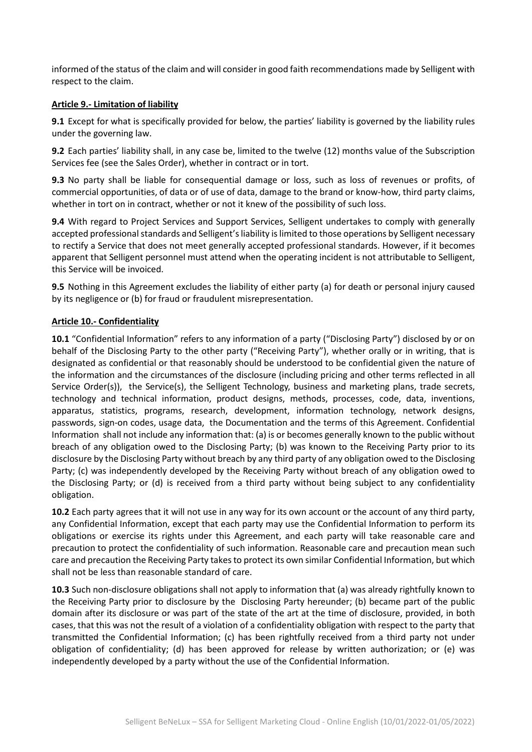informed of the status of the claim and will consider in good faith recommendations made by Selligent with respect to the claim.

#### **Article 9.- Limitation of liability**

**9.1** Except for what is specifically provided for below, the parties' liability is governed by the liability rules under the governing law.

**9.2** Each parties' liability shall, in any case be, limited to the twelve (12) months value of the Subscription Services fee (see the Sales Order), whether in contract or in tort.

**9.3** No party shall be liable for consequential damage or loss, such as loss of revenues or profits, of commercial opportunities, of data or of use of data, damage to the brand or know-how, third party claims, whether in tort on in contract, whether or not it knew of the possibility of such loss.

**9.4** With regard to Project Services and Support Services, Selligent undertakes to comply with generally accepted professional standards and Selligent's liability is limited to those operations by Selligent necessary to rectify a Service that does not meet generally accepted professional standards. However, if it becomes apparent that Selligent personnel must attend when the operating incident is not attributable to Selligent, this Service will be invoiced.

**9.5** Nothing in this Agreement excludes the liability of either party (a) for death or personal injury caused by its negligence or (b) for fraud or fraudulent misrepresentation.

# **Article 10.- Confidentiality**

**10.1** "Confidential Information" refers to any information of a party ("Disclosing Party") disclosed by or on behalf of the Disclosing Party to the other party ("Receiving Party"), whether orally or in writing, that is designated as confidential or that reasonably should be understood to be confidential given the nature of the information and the circumstances of the disclosure (including pricing and other terms reflected in all Service Order(s)), the Service(s), the Selligent Technology, business and marketing plans, trade secrets, technology and technical information, product designs, methods, processes, code, data, inventions, apparatus, statistics, programs, research, development, information technology, network designs, passwords, sign-on codes, usage data, the Documentation and the terms of this Agreement. Confidential Information shall not include any information that: (a) is or becomes generally known to the public without breach of any obligation owed to the Disclosing Party; (b) was known to the Receiving Party prior to its disclosure by the Disclosing Party without breach by any third party of any obligation owed to the Disclosing Party; (c) was independently developed by the Receiving Party without breach of any obligation owed to the Disclosing Party; or (d) is received from a third party without being subject to any confidentiality obligation.

**10.2** Each party agrees that it will not use in any way for its own account or the account of any third party, any Confidential Information, except that each party may use the Confidential Information to perform its obligations or exercise its rights under this Agreement, and each party will take reasonable care and precaution to protect the confidentiality of such information. Reasonable care and precaution mean such care and precaution the Receiving Party takes to protect its own similar Confidential Information, but which shall not be less than reasonable standard of care.

**10.3** Such non-disclosure obligations shall not apply to information that (a) was already rightfully known to the Receiving Party prior to disclosure by the Disclosing Party hereunder; (b) became part of the public domain after its disclosure or was part of the state of the art at the time of disclosure, provided, in both cases, that this was not the result of a violation of a confidentiality obligation with respect to the party that transmitted the Confidential Information; (c) has been rightfully received from a third party not under obligation of confidentiality; (d) has been approved for release by written authorization; or (e) was independently developed by a party without the use of the Confidential Information.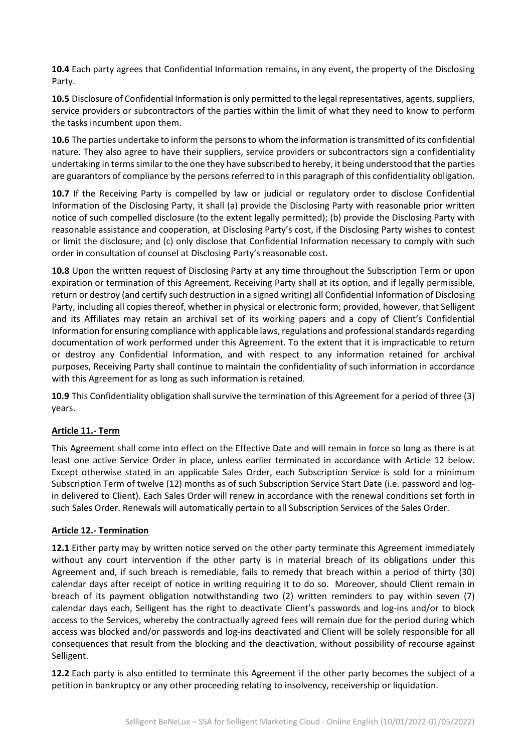**10.4** Each party agrees that Confidential Information remains, in any event, the property of the Disclosing Party.

**10.5** Disclosure of Confidential Information is only permitted to the legal representatives, agents, suppliers, service providers or subcontractors of the parties within the limit of what they need to know to perform the tasks incumbent upon them.

**10.6** The parties undertake to inform the persons to whom the information is transmitted of its confidential nature. They also agree to have their suppliers, service providers or subcontractors sign a confidentiality undertaking in terms similar to the one they have subscribed to hereby, it being understood that the parties are guarantors of compliance by the persons referred to in this paragraph of this confidentiality obligation.

**10.7** If the Receiving Party is compelled by law or judicial or regulatory order to disclose Confidential Information of the Disclosing Party, it shall (a) provide the Disclosing Party with reasonable prior written notice of such compelled disclosure (to the extent legally permitted); (b) provide the Disclosing Party with reasonable assistance and cooperation, at Disclosing Party's cost, if the Disclosing Party wishes to contest or limit the disclosure; and (c) only disclose that Confidential Information necessary to comply with such order in consultation of counsel at Disclosing Party's reasonable cost.

**10.8** Upon the written request of Disclosing Party at any time throughout the Subscription Term or upon expiration or termination of this Agreement, Receiving Party shall at its option, and if legally permissible, return or destroy (and certify such destruction in a signed writing) all Confidential Information of Disclosing Party, including all copies thereof, whether in physical or electronic form; provided, however, that Selligent and its Affiliates may retain an archival set of its working papers and a copy of Client's Confidential Information for ensuring compliance with applicable laws, regulations and professional standards regarding documentation of work performed under this Agreement. To the extent that it is impracticable to return or destroy any Confidential Information, and with respect to any information retained for archival purposes, Receiving Party shall continue to maintain the confidentiality of such information in accordance with this Agreement for as long as such information is retained.

**10.9** This Confidentiality obligation shall survive the termination of this Agreement for a period of three (3) years.

# **Article 11.- Term**

This Agreement shall come into effect on the Effective Date and will remain in force so long as there is at least one active Service Order in place, unless earlier terminated in accordance with Article 12 below. Except otherwise stated in an applicable Sales Order, each Subscription Service is sold for a minimum Subscription Term of twelve (12) months as of such Subscription Service Start Date (i.e. password and login delivered to Client). Each Sales Order will renew in accordance with the renewal conditions set forth in such Sales Order. Renewals will automatically pertain to all Subscription Services of the Sales Order.

# **Article 12.- Termination**

**12.1** Either party may by written notice served on the other party terminate this Agreement immediately without any court intervention if the other party is in material breach of its obligations under this Agreement and, if such breach is remediable, fails to remedy that breach within a period of thirty (30) calendar days after receipt of notice in writing requiring it to do so. Moreover, should Client remain in breach of its payment obligation notwithstanding two (2) written reminders to pay within seven (7) calendar days each, Selligent has the right to deactivate Client's passwords and log-ins and/or to block access to the Services, whereby the contractually agreed fees will remain due for the period during which access was blocked and/or passwords and log-ins deactivated and Client will be solely responsible for all consequences that result from the blocking and the deactivation, without possibility of recourse against Selligent.

**12.2** Each party is also entitled to terminate this Agreement if the other party becomes the subject of a petition in bankruptcy or any other proceeding relating to insolvency, receivership or liquidation.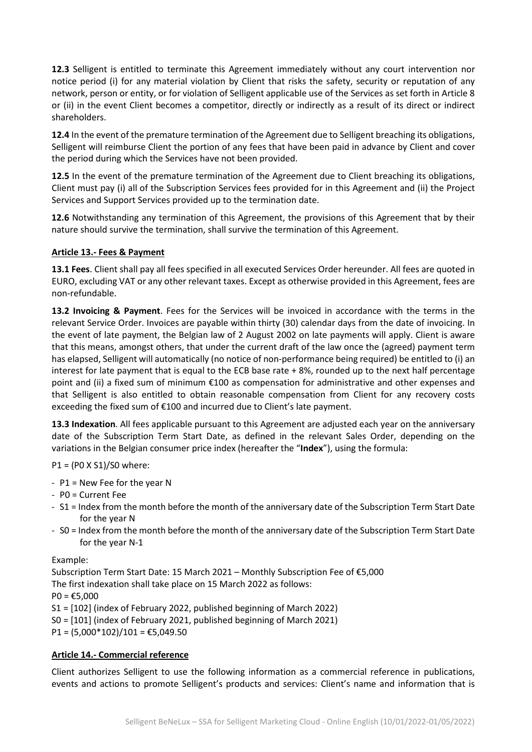**12.3** Selligent is entitled to terminate this Agreement immediately without any court intervention nor notice period (i) for any material violation by Client that risks the safety, security or reputation of any network, person or entity, or for violation of Selligent applicable use of the Services as set forth in Article 8 or (ii) in the event Client becomes a competitor, directly or indirectly as a result of its direct or indirect shareholders.

**12.4** In the event of the premature termination of the Agreement due to Selligent breaching its obligations, Selligent will reimburse Client the portion of any fees that have been paid in advance by Client and cover the period during which the Services have not been provided.

**12.5** In the event of the premature termination of the Agreement due to Client breaching its obligations, Client must pay (i) all of the Subscription Services fees provided for in this Agreement and (ii) the Project Services and Support Services provided up to the termination date.

**12.6** Notwithstanding any termination of this Agreement, the provisions of this Agreement that by their nature should survive the termination, shall survive the termination of this Agreement.

# **Article 13.- Fees & Payment**

**13.1 Fees**. Client shall pay all fees specified in all executed Services Order hereunder. All fees are quoted in EURO, excluding VAT or any other relevant taxes. Except as otherwise provided in this Agreement, fees are non-refundable.

**13.2 Invoicing & Payment**. Fees for the Services will be invoiced in accordance with the terms in the relevant Service Order. Invoices are payable within thirty (30) calendar days from the date of invoicing. In the event of late payment, the Belgian law of 2 August 2002 on late payments will apply. Client is aware that this means, amongst others, that under the current draft of the law once the (agreed) payment term has elapsed, Selligent will automatically (no notice of non-performance being required) be entitled to (i) an interest for late payment that is equal to the ECB base rate + 8%, rounded up to the next half percentage point and (ii) a fixed sum of minimum €100 as compensation for administrative and other expenses and that Selligent is also entitled to obtain reasonable compensation from Client for any recovery costs exceeding the fixed sum of €100 and incurred due to Client's late payment.

**13.3 Indexation**. All fees applicable pursuant to this Agreement are adjusted each year on the anniversary date of the Subscription Term Start Date, as defined in the relevant Sales Order, depending on the variations in the Belgian consumer price index (hereafter the "**Index**"), using the formula:

P1 = (P0 X S1)/S0 where:

- P1 = New Fee for the year N
- P0 = Current Fee
- S1 = Index from the month before the month of the anniversary date of the Subscription Term Start Date for the year N
- S0 = Index from the month before the month of the anniversary date of the Subscription Term Start Date for the year N-1

#### Example:

Subscription Term Start Date: 15 March 2021 – Monthly Subscription Fee of €5,000 The first indexation shall take place on 15 March 2022 as follows:  $PO = £5,000$ S1 = [102] (index of February 2022, published beginning of March 2022) S0 = [101] (index of February 2021, published beginning of March 2021)  $P1 = (5,000*102)/101 = \text{\textsterling}5,049.50$ 

# **Article 14.- Commercial reference**

Client authorizes Selligent to use the following information as a commercial reference in publications, events and actions to promote Selligent's products and services: Client's name and information that is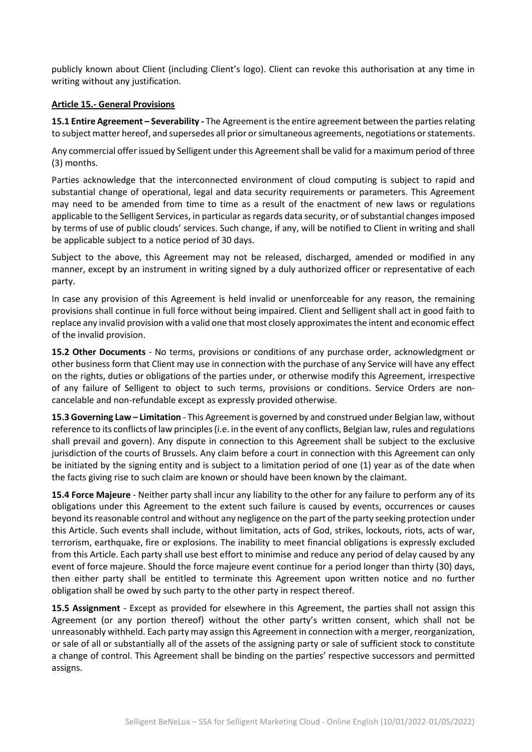publicly known about Client (including Client's logo). Client can revoke this authorisation at any time in writing without any justification.

#### **Article 15.- General Provisions**

**15.1 Entire Agreement – Severability -** The Agreement is the entire agreement between the parties relating to subject matter hereof, and supersedes all prior or simultaneous agreements, negotiations or statements.

Any commercial offer issued by Selligent under this Agreement shall be valid for a maximum period of three (3) months.

Parties acknowledge that the interconnected environment of cloud computing is subject to rapid and substantial change of operational, legal and data security requirements or parameters. This Agreement may need to be amended from time to time as a result of the enactment of new laws or regulations applicable to the Selligent Services, in particular as regards data security, or of substantial changes imposed by terms of use of public clouds' services. Such change, if any, will be notified to Client in writing and shall be applicable subject to a notice period of 30 days.

Subject to the above, this Agreement may not be released, discharged, amended or modified in any manner, except by an instrument in writing signed by a duly authorized officer or representative of each party.

In case any provision of this Agreement is held invalid or unenforceable for any reason, the remaining provisions shall continue in full force without being impaired. Client and Selligent shall act in good faith to replace any invalid provision with a valid one that most closely approximates the intent and economic effect of the invalid provision.

**15.2 Other Documents** - No terms, provisions or conditions of any purchase order, acknowledgment or other business form that Client may use in connection with the purchase of any Service will have any effect on the rights, duties or obligations of the parties under, or otherwise modify this Agreement, irrespective of any failure of Selligent to object to such terms, provisions or conditions. Service Orders are noncancelable and non-refundable except as expressly provided otherwise.

**15.3 Governing Law – Limitation** - This Agreement is governed by and construed under Belgian law, without reference to its conflicts of law principles (i.e. in the event of any conflicts, Belgian law, rules and regulations shall prevail and govern). Any dispute in connection to this Agreement shall be subject to the exclusive jurisdiction of the courts of Brussels. Any claim before a court in connection with this Agreement can only be initiated by the signing entity and is subject to a limitation period of one (1) year as of the date when the facts giving rise to such claim are known or should have been known by the claimant.

**15.4 Force Majeure** - Neither party shall incur any liability to the other for any failure to perform any of its obligations under this Agreement to the extent such failure is caused by events, occurrences or causes beyond its reasonable control and without any negligence on the part of the party seeking protection under this Article. Such events shall include, without limitation, acts of God, strikes, lockouts, riots, acts of war, terrorism, earthquake, fire or explosions. The inability to meet financial obligations is expressly excluded from this Article. Each party shall use best effort to minimise and reduce any period of delay caused by any event of force majeure. Should the force majeure event continue for a period longer than thirty (30) days, then either party shall be entitled to terminate this Agreement upon written notice and no further obligation shall be owed by such party to the other party in respect thereof.

**15.5 Assignment** - Except as provided for elsewhere in this Agreement, the parties shall not assign this Agreement (or any portion thereof) without the other party's written consent, which shall not be unreasonably withheld. Each party may assign this Agreement in connection with a merger, reorganization, or sale of all or substantially all of the assets of the assigning party or sale of sufficient stock to constitute a change of control. This Agreement shall be binding on the parties' respective successors and permitted assigns.